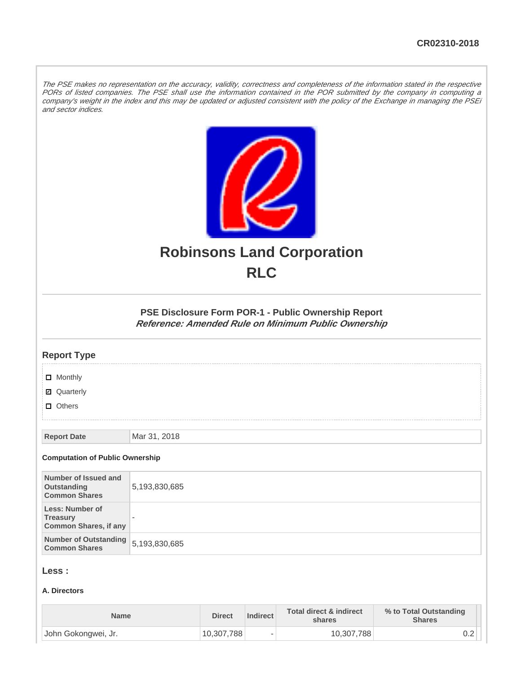The PSE makes no representation on the accuracy, validity, correctness and completeness of the information stated in the respective PORs of listed companies. The PSE shall use the information contained in the POR submitted by the company in computing a company's weight in the index and this may be updated or adjusted consistent with the policy of the Exchange in managing the PSEi and sector indices.



# **Robinsons Land Corporation RLC**

**PSE Disclosure Form POR-1 - Public Ownership Report Reference: Amended Rule on Minimum Public Ownership**

### **Report Type**

**D** Monthly

■ Quarterly

**D** Others

**Report Date Mar 31, 2018** 

#### **Computation of Public Ownership**

| Number of Issued and<br>Outstanding<br><b>Common Shares</b>        | 5,193,830,685            |
|--------------------------------------------------------------------|--------------------------|
| Less: Number of<br><b>Treasury</b><br><b>Common Shares, if any</b> | $\overline{\phantom{a}}$ |
| Number of Outstanding<br><b>Common Shares</b>                      | 5,193,830,685            |

### **Less :**

### **A. Directors**

| <b>Name</b>         | <b>Direct</b> | Indirect | <b>Total direct &amp; indirect</b><br>shares | % to Total Outstanding<br><b>Shares</b> |
|---------------------|---------------|----------|----------------------------------------------|-----------------------------------------|
| John Gokongwei, Jr. | 10,307,788    |          | 10,307,788                                   | ∪.∠                                     |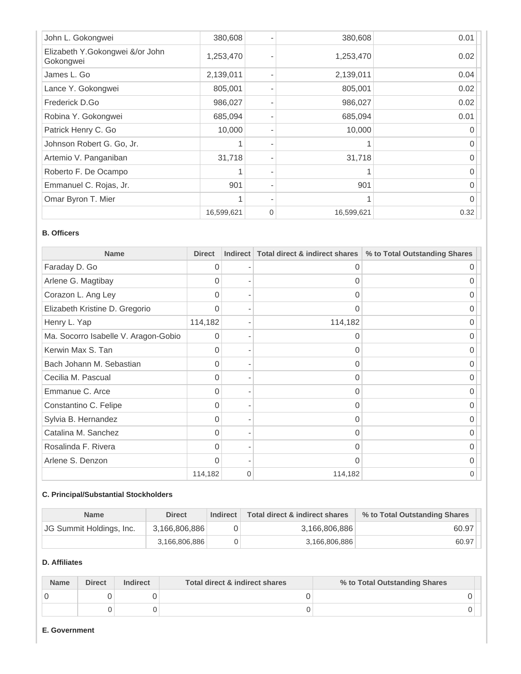| John L. Gokongwei                            | 380,608    |   | 380,608    | 0.01 |
|----------------------------------------------|------------|---|------------|------|
| Elizabeth Y.Gokongwei &/or John<br>Gokongwei | 1,253,470  |   | 1,253,470  | 0.02 |
| James L. Go                                  | 2,139,011  |   | 2,139,011  | 0.04 |
| Lance Y. Gokongwei                           | 805,001    |   | 805,001    | 0.02 |
| Frederick D.Go                               | 986,027    |   | 986,027    | 0.02 |
| Robina Y. Gokongwei                          | 685,094    |   | 685,094    | 0.01 |
| Patrick Henry C. Go                          | 10,000     |   | 10,000     |      |
| Johnson Robert G. Go, Jr.                    |            |   |            |      |
| Artemio V. Panganiban                        | 31,718     |   | 31,718     |      |
| Roberto F. De Ocampo                         |            |   |            |      |
| Emmanuel C. Rojas, Jr.                       | 901        |   | 901        | O    |
| Omar Byron T. Mier                           |            |   |            |      |
|                                              | 16,599,621 | 0 | 16,599,621 | 0.32 |

### **B. Officers**

| <b>Name</b>                          | <b>Direct</b> | <b>Indirect</b>          | Total direct & indirect shares | % to Total Outstanding Shares |
|--------------------------------------|---------------|--------------------------|--------------------------------|-------------------------------|
| Faraday D. Go                        | $\Omega$      |                          | 0                              | ∩                             |
| Arlene G. Magtibay                   | 0             |                          | 0                              |                               |
| Corazon L. Ang Ley                   | 0             |                          | 0                              |                               |
| Elizabeth Kristine D. Gregorio       | $\Omega$      |                          | 0                              | ი                             |
| Henry L. Yap                         | 114,182       | $\overline{\phantom{a}}$ | 114,182                        | $\Omega$                      |
| Ma. Socorro Isabelle V. Aragon-Gobio | $\Omega$      |                          | 0                              |                               |
| Kerwin Max S. Tan                    | $\Omega$      |                          | 0                              |                               |
| Bach Johann M. Sebastian             | 0             |                          | 0                              | O                             |
| Cecilia M. Pascual                   | $\Omega$      |                          | 0                              | O                             |
| Emmanue C. Arce                      | 0             |                          | 0                              | O                             |
| Constantino C. Felipe                | 0             |                          | 0                              |                               |
| Sylvia B. Hernandez                  | <sup>0</sup>  |                          | 0                              |                               |
| Catalina M. Sanchez                  | 0             |                          | 0                              | O                             |
| Rosalinda F. Rivera                  | $\Omega$      |                          | 0                              | ი                             |
| Arlene S. Denzon                     | $\Omega$      | $\overline{\phantom{a}}$ | O                              |                               |
|                                      | 114,182       | $\mathbf{0}$             | 114,182                        |                               |

# **C. Principal/Substantial Stockholders**

| <b>Name</b>                     | <b>Direct</b> | Indirect | Total direct & indirect shares | % to Total Outstanding Shares |
|---------------------------------|---------------|----------|--------------------------------|-------------------------------|
| <b>JG Summit Holdings, Inc.</b> | 3,166,806,886 |          | 3,166,806,886                  | 60.97                         |
|                                 | 3,166,806,886 |          | 3.166.806.886                  | 60.97                         |

# **D. Affiliates**

| <b>Name</b> | <b>Direct</b> | <b>Indirect</b> | Total direct & indirect shares | % to Total Outstanding Shares |
|-------------|---------------|-----------------|--------------------------------|-------------------------------|
|             |               |                 |                                |                               |
|             |               |                 |                                |                               |